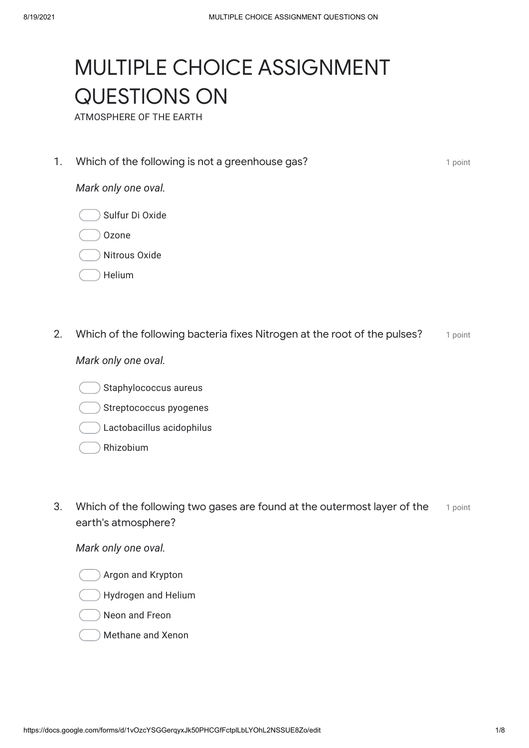# MULTIPLE CHOICE ASSIGNMENT QUESTIONS ON

ATMOSPHERE OF THE EARTH

**1. Which of the following is not a greenhouse gas? 1** point 1 point

#### *Mark only one oval.*



- Ozone
- Nitrous Oxide
- Helium
- 2. Which of the following bacteria fixes Nitrogen at the root of the pulses? The point

### *Mark only one oval.*

- Staphylococcus aureus
- Streptococcus pyogenes
- Lactobacillus acidophilus
- Rhizobium
- 3. Which of the following two gases are found at the outermost layer of the  $\qquad$  1 point earth's atmosphere?

- Argon and Krypton
- Hydrogen and Helium
- Neon and Freon
- Methane and Xenon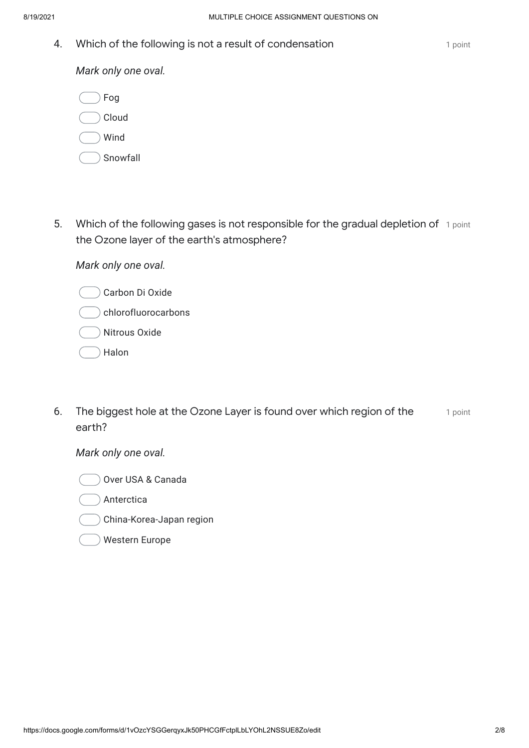**4.** Which of the following is not a result of condensation **the example of the fluorit** 1 point

*Mark only one oval.*

| Fog      |
|----------|
| Cloud    |
| Wind     |
| Snowfall |

5. Which of the following gases is not responsible for the gradual depletion of 1 point the Ozone layer of the earth's atmosphere?

*Mark only one oval.*

- Carbon Di Oxide
- chlorofluorocarbons
- Nitrous Oxide
- Halon
- 6. The biggest hole at the Ozone Layer is found over which region of the metabolist earth?



- Anterctica
- China-Korea-Japan region
- Western Europe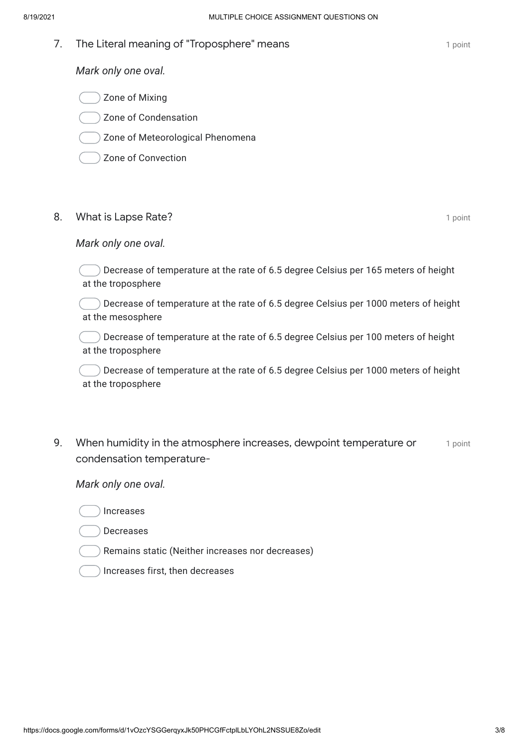**7.** The Literal meaning of "Troposphere" means and the control of the control of point

*Mark only one oval.*

- Zone of Mixing
- Zone of Condensation
- Zone of Meteorological Phenomena
- Zone of Convection

#### 8. Mhat is Lapse Rate? **1 1** point

#### *Mark only one oval.*

Decrease of temperature at the rate of 6.5 degree Celsius per 165 meters of height at the troposphere

Decrease of temperature at the rate of 6.5 degree Celsius per 1000 meters of height at the mesosphere

Decrease of temperature at the rate of 6.5 degree Celsius per 100 meters of height at the troposphere

Decrease of temperature at the rate of 6.5 degree Celsius per 1000 meters of height at the troposphere

9. Mhen humidity in the atmosphere increases, dewpoint temperature or  $\hspace{0.8cm}$  1 point condensation temperature-

- Increases
- Decreases
- Remains static (Neither increases nor decreases)
- Increases first, then decreases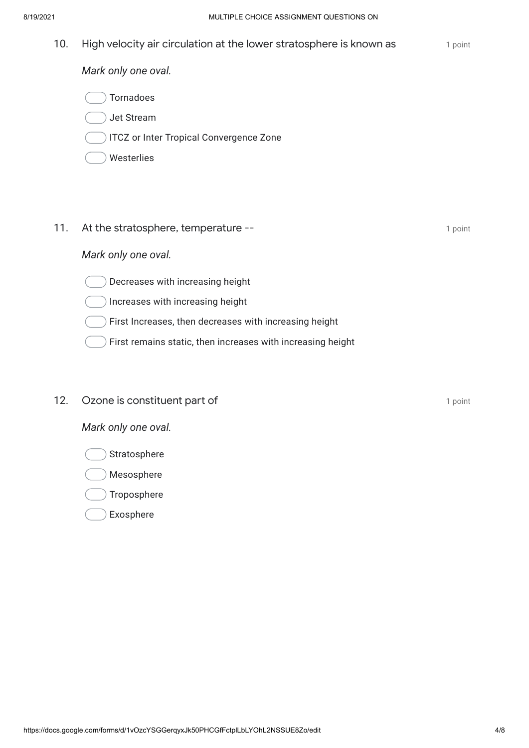- 10. High velocity air circulation at the lower stratosphere is known as **the out-on-** 1 point *Mark only one oval.* Tornadoes Jet Stream ITCZ or Inter Tropical Convergence Zone Westerlies **11.** At the stratosphere, temperature -- **Accord 2** a point *Mark only one oval.* Decreases with increasing height ) Increases with increasing height First Increases, then decreases with increasing height First remains static, then increases with increasing height
	- **12.** Ozone is constituent part of **the constituent part of the constituent** 1 point

- Stratosphere
- Mesosphere
- Troposphere
- Exosphere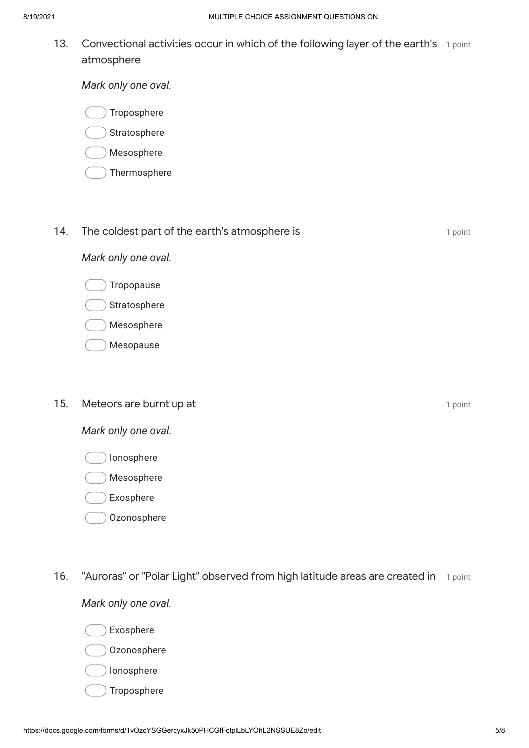13. Convectional activities occur in which of the following layer of the earth's 1 point atmosphere

*Mark only one oval.*

Troposphere

**Stratosphere** 

- Mesosphere
- Thermosphere

#### **14.** The coldest part of the earth's atmosphere is **1** point 1 point

*Mark only one oval.*

- Tropopause
- Stratosphere
- Mesosphere
- Mesopause
- **15. Meteors are burnt up at the contract of the contract of the contract of the contract of the contract of the contract of the contract of the contract of the contract of the contract of the contract of the contract of t**

*Mark only one oval.*

- Ionosphere
- Mesosphere
- Exosphere
- Ozonosphere
- 16. "Auroras" or "Polar Light" observed from high latitude areas are created in 1 point

- Exosphere
- Ozonosphere
- Ionosphere
- Troposphere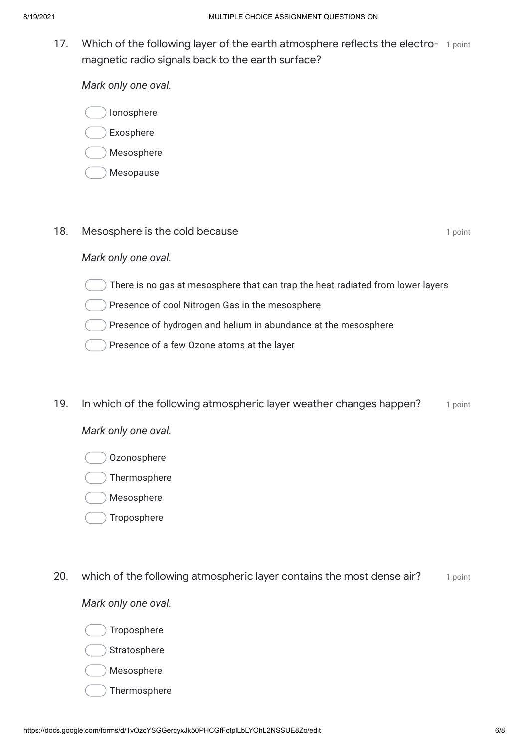17. Which of the following layer of the earth atmosphere reflects the electro- 1 point magnetic radio signals back to the earth surface?

*Mark only one oval.*

Ionosphere

Exosphere

- Mesosphere
- Mesopause

## **18.** Mesosphere is the cold because **18. In the set of the CO** 1 point

## *Mark only one oval.*

There is no gas at mesosphere that can trap the heat radiated from lower layers

Presence of cool Nitrogen Gas in the mesosphere

Presence of hydrogen and helium in abundance at the mesosphere

- Presence of a few Ozone atoms at the layer
- 19. In which of the following atmospheric layer weather changes happen? 1 point

*Mark only one oval.*

- Ozonosphere
- Thermosphere
- Mesosphere
- Troposphere
- 20. which of the following atmospheric layer contains the most dense air? The anti

- Troposphere
- **Stratosphere**
- Mesosphere
- Thermosphere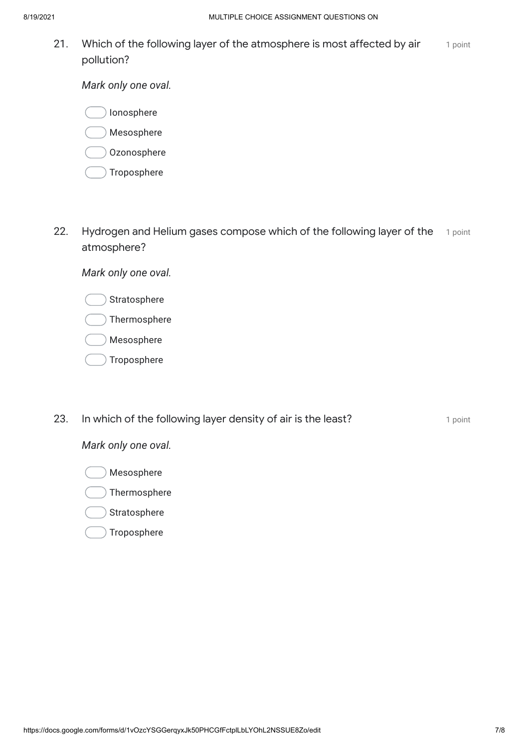21. Mhich of the following layer of the atmosphere is most affected by air  $\qquad$  1 point pollution?

*Mark only one oval.*

Ionosphere

Mesosphere

- Ozonosphere
- Troposphere
- 22. Hydrogen and Helium gases compose which of the following layer of the 1 point atmosphere?

*Mark only one oval.*

- Stratosphere
- Thermosphere
- Mesosphere
- Troposphere
- **23.** In which of the following layer density of air is the least? **I** point a point

## *Mark only one oval.*

Mesosphere

Thermosphere

Stratosphere

Troposphere